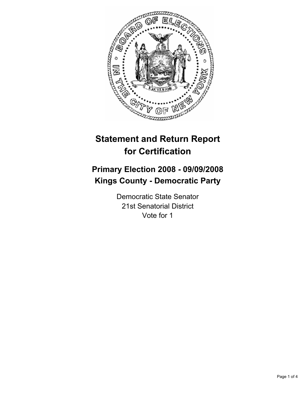

# **Statement and Return Report for Certification**

# **Primary Election 2008 - 09/09/2008 Kings County - Democratic Party**

Democratic State Senator 21st Senatorial District Vote for 1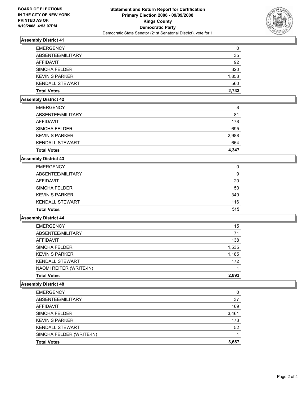

# **Assembly District 41**

| 35    |
|-------|
|       |
| 92    |
| 320   |
| 1,853 |
| 560   |
| 2,733 |
|       |

### **Assembly District 42**

| <b>EMERGENCY</b>       | 8     |
|------------------------|-------|
| ABSENTEE/MILITARY      | 81    |
| <b>AFFIDAVIT</b>       | 178   |
| <b>SIMCHA FELDER</b>   | 695   |
| <b>KEVIN S PARKER</b>  | 2,988 |
| <b>KENDALL STEWART</b> | 664   |
| <b>Total Votes</b>     | 4,347 |

# **Assembly District 43**

| <b>EMERGENCY</b>       | C   |
|------------------------|-----|
| ABSENTEE/MILITARY      | g   |
| AFFIDAVIT              | 20  |
| SIMCHA FELDER          | 50  |
| <b>KEVIN S PARKER</b>  | 349 |
| <b>KENDALL STEWART</b> | 116 |
| <b>Total Votes</b>     | 515 |

### **Assembly District 44**

| <b>EMERGENCY</b>        | 15    |
|-------------------------|-------|
| ABSENTEE/MILITARY       | 71    |
| AFFIDAVIT               | 138   |
| <b>SIMCHA FELDER</b>    | 1,535 |
| <b>KEVIN S PARKER</b>   | 1,185 |
| <b>KENDALL STEWART</b>  | 172   |
| NAOMI REITER (WRITE-IN) |       |
| <b>Total Votes</b>      | 2,893 |

# **Assembly District 48**

| <b>EMERGENCY</b>         | 0     |
|--------------------------|-------|
| ABSENTEE/MILITARY        | 37    |
| <b>AFFIDAVIT</b>         | 169   |
| SIMCHA FELDER            | 3,461 |
| <b>KEVIN S PARKER</b>    | 173   |
| <b>KENDALL STEWART</b>   | 52    |
| SIMCHA FELDER (WRITE-IN) |       |
| <b>Total Votes</b>       | 3,687 |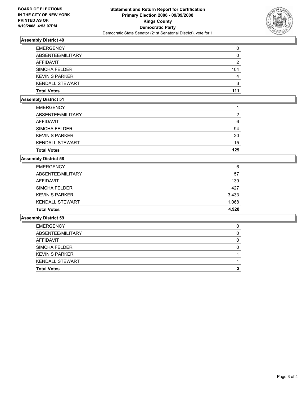

# **Assembly District 49**

| <b>EMERGENCY</b>       |     |
|------------------------|-----|
| ABSENTEE/MILITARY      |     |
| AFFIDAVIT              |     |
| <b>SIMCHA FELDER</b>   | 104 |
| <b>KEVIN S PARKER</b>  |     |
| <b>KENDALL STEWART</b> |     |
| <b>Total Votes</b>     | 111 |

# **Assembly District 51**

| <b>Total Votes</b>     | 129 |
|------------------------|-----|
| <b>KENDALL STEWART</b> | 15  |
| <b>KEVIN S PARKER</b>  | 20  |
| <b>SIMCHA FELDER</b>   | 94  |
| AFFIDAVIT              | 6   |
| ABSENTEE/MILITARY      | ົ   |
| <b>EMERGENCY</b>       |     |

# **Assembly District 58**

| <b>Total Votes</b>     | 4.928 |
|------------------------|-------|
| <b>KENDALL STEWART</b> | 1,068 |
| <b>KEVIN S PARKER</b>  | 3,433 |
| SIMCHA FELDER          | 427   |
| AFFIDAVIT              | 139   |
| ABSENTEE/MILITARY      | 57    |
| <b>EMERGENCY</b>       | 6     |

### **Assembly District 59**

| <b>EMERGENCY</b>       |  |
|------------------------|--|
| ABSENTEE/MILITARY      |  |
| AFFIDAVIT              |  |
| <b>SIMCHA FELDER</b>   |  |
| <b>KEVIN S PARKER</b>  |  |
| <b>KENDALL STEWART</b> |  |
| <b>Total Votes</b>     |  |